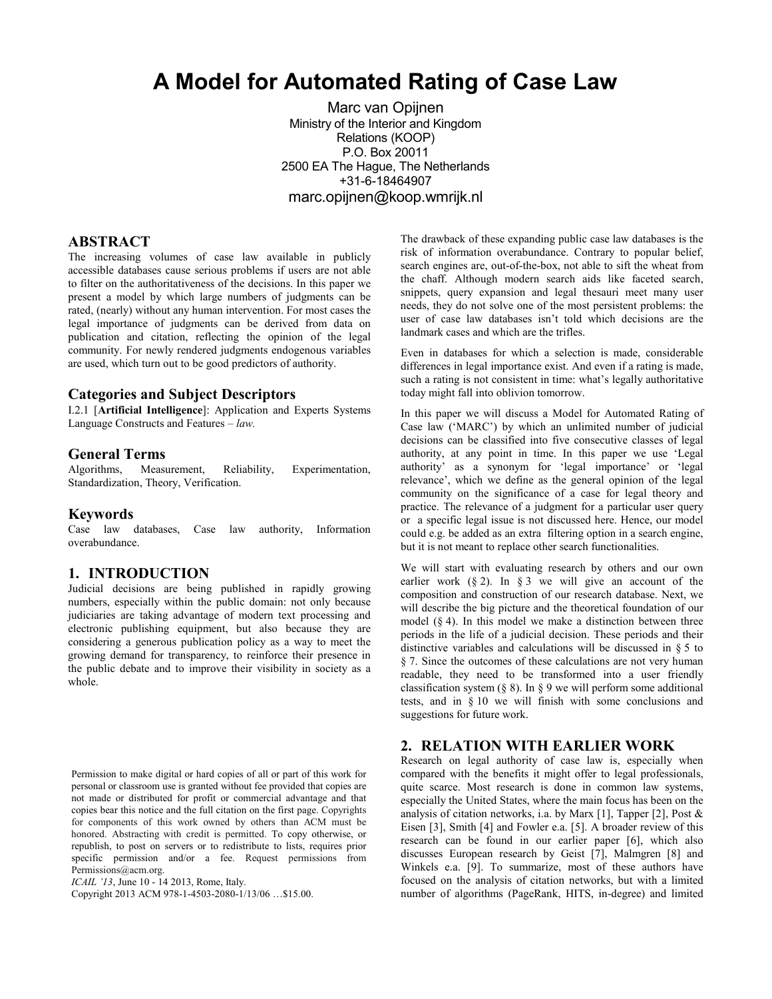# **A Model for Automated Rating of Case Law**

Marc van Opijnen Ministry of the Interior and Kingdom Relations (KOOP) P.O. Box 20011 2500 EA The Hague, The Netherlands +31-6-18464907 marc.opijnen@koop.wmrijk.nl

# **ABSTRACT**

The increasing volumes of case law available in publicly accessible databases cause serious problems if users are not able to filter on the authoritativeness of the decisions. In this paper we present a model by which large numbers of judgments can be rated, (nearly) without any human intervention. For most cases the legal importance of judgments can be derived from data on publication and citation, reflecting the opinion of the legal community. For newly rendered judgments endogenous variables are used, which turn out to be good predictors of authority.

# **Categories and Subject Descriptors**

I.2.1 [**Artificial Intelligence**]: Application and Experts Systems Language Constructs and Features – *law.* 

#### **General Terms**

Algorithms, Measurement, Reliability, Experimentation, Standardization, Theory, Verification.

#### **Keywords**

Case law databases, Case law authority, Information overabundance.

#### **1. INTRODUCTION**

Judicial decisions are being published in rapidly growing numbers, especially within the public domain: not only because judiciaries are taking advantage of modern text processing and electronic publishing equipment, but also because they are considering a generous publication policy as a way to meet the growing demand for transparency, to reinforce their presence in the public debate and to improve their visibility in society as a whole.

Permission to make digital or hard copies of all or part of this work for personal or classroom use is granted without fee provided that copies are not made or distributed for profit or commercial advantage and that copies bear this notice and the full citation on the first page. Copyrights for components of this work owned by others than ACM must be honored. Abstracting with credit is permitted. To copy otherwise, or republish, to post on servers or to redistribute to lists, requires prior specific permission and/or a fee. Request permissions from [Permissions@acm.org.](mailto:Permissions@acm.org)

*ICAIL '13*, June 10 - 14 2013, Rome, Italy.

Copyright 2013 ACM 978-1-4503-2080-1/13/06 …\$15.00.

The drawback of these expanding public case law databases is the risk of information overabundance. Contrary to popular belief, search engines are, out-of-the-box, not able to sift the wheat from the chaff. Although modern search aids like faceted search, snippets, query expansion and legal thesauri meet many user needs, they do not solve one of the most persistent problems: the user of case law databases isn't told which decisions are the landmark cases and which are the trifles.

Even in databases for which a selection is made, considerable differences in legal importance exist. And even if a rating is made, such a rating is not consistent in time: what's legally authoritative today might fall into oblivion tomorrow.

In this paper we will discuss a Model for Automated Rating of Case law ('MARC') by which an unlimited number of judicial decisions can be classified into five consecutive classes of legal authority, at any point in time. In this paper we use 'Legal authority' as a synonym for 'legal importance' or 'legal relevance', which we define as the general opinion of the legal community on the significance of a case for legal theory and practice. The relevance of a judgment for a particular user query or a specific legal issue is not discussed here. Hence, our model could e.g. be added as an extra filtering option in a search engine, but it is not meant to replace other search functionalities.

We will start with evaluating research by others and our own earlier work  $(\S 2)$ . In  $\S 3$  we will give an account of the composition and construction of our research database. Next, we will describe the big picture and the theoretical foundation of our model  $(\S 4)$ . In this model we make a distinction between three periods in the life of a judicial decision. These periods and their distinctive variables and calculations will be discussed in § 5 to § 7. Since the outcomes of these calculations are not very human readable, they need to be transformed into a user friendly classification system (§ 8). In § 9 we will perform some additional tests, and in § 10 we will finish with some conclusions and suggestions for future work.

#### **2. RELATION WITH EARLIER WORK**

Research on legal authority of case law is, especially when compared with the benefits it might offer to legal professionals, quite scarce. Most research is done in common law systems, especially the United States, where the main focus has been on the analysis of citation networks, i.a. by Marx [\[1\]](#page-9-0), Tapper [\[2\]](#page-9-1), Post & Eisen [\[3\]](#page-9-2), Smith [\[4\]](#page-9-3) and Fowler e.a. [\[5\]](#page-9-4). A broader review of this research can be found in our earlier paper [\[6\]](#page-9-5), which also discusses European research by Geist [\[7\]](#page-9-6), Malmgren [\[8\]](#page-9-7) and Winkels e.a. [\[9\]](#page-9-8). To summarize, most of these authors have focused on the analysis of citation networks, but with a limited number of algorithms (PageRank, HITS, in-degree) and limited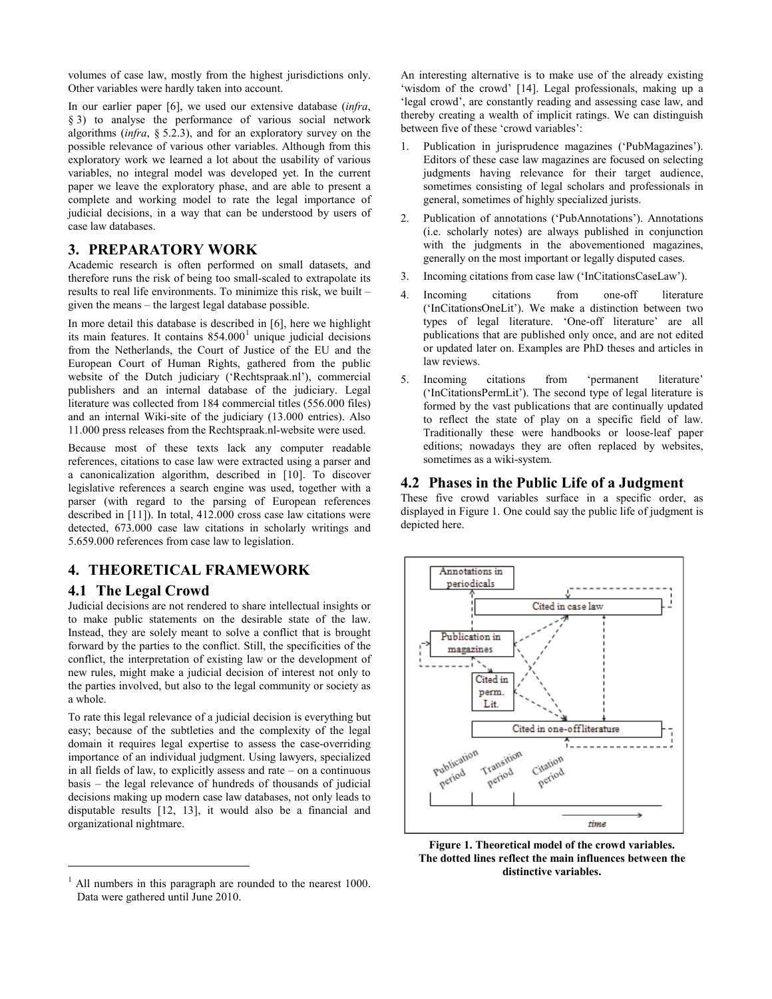volumes of case law, mostly from the highest jurisdictions only. Other variables were hardly taken into account.

In our earlier paper [\[6\]](#page-9-5), we used our extensive database (*infra*, § 3) to analyse the performance of various social network algorithms (*infra*, § 5.2.3), and for an exploratory survey on the possible relevance of various other variables. Although from this exploratory work we learned a lot about the usability of various variables, no integral model was developed yet. In the current paper we leave the exploratory phase, and are able to present a complete and working model to rate the legal importance of judicial decisions, in a way that can be understood by users of case law databases.

# **3. PREPARATORY WORK**

Academic research is often performed on small datasets, and therefore runs the risk of being too small-scaled to extrapolate its results to real life environments. To minimize this risk, we built – given the means – the largest legal database possible.

In more detail this database is described in [\[6\]](#page-9-5), here we highlight its main features. It contains  $854.000<sup>1</sup>$  $854.000<sup>1</sup>$  $854.000<sup>1</sup>$  unique judicial decisions from the Netherlands, the Court of Justice of the EU and the European Court of Human Rights, gathered from the public website of the Dutch judiciary ('Rechtspraak.nl'), commercial publishers and an internal database of the judiciary. Legal literature was collected from 184 commercial titles (556.000 files) and an internal Wiki-site of the judiciary (13.000 entries). Also 11.000 press releases from the Rechtspraak.nl-website were used.

Because most of these texts lack any computer readable references, citations to case law were extracted using a parser and a canonicalization algorithm, described in [\[10\]](#page-9-9). To discover legislative references a search engine was used, together with a parser (with regard to the parsing of European references described in [\[11\]](#page-9-10)). In total, 412.000 cross case law citations were detected, 673.000 case law citations in scholarly writings and 5.659.000 references from case law to legislation.

# **4. THEORETICAL FRAMEWORK**

#### **4.1 The Legal Crowd**

j

Judicial decisions are not rendered to share intellectual insights or to make public statements on the desirable state of the law. Instead, they are solely meant to solve a conflict that is brought forward by the parties to the conflict. Still, the specificities of the conflict, the interpretation of existing law or the development of new rules, might make a judicial decision of interest not only to the parties involved, but also to the legal community or society as a whole.

To rate this legal relevance of a judicial decision is everything but easy; because of the subtleties and the complexity of the legal domain it requires legal expertise to assess the case-overriding importance of an individual judgment. Using lawyers, specialized in all fields of law, to explicitly assess and rate – on a continuous basis – the legal relevance of hundreds of thousands of judicial decisions making up modern case law databases, not only leads to disputable results [\[12,](#page-9-11) [13\]](#page-9-12), it would also be a financial and organizational nightmare.

An interesting alternative is to make use of the already existing 'wisdom of the crowd' [\[14\]](#page-9-13). Legal professionals, making up a 'legal crowd', are constantly reading and assessing case law, and thereby creating a wealth of implicit ratings. We can distinguish between five of these 'crowd variables':

- Publication in jurisprudence magazines ('PubMagazines'). Editors of these case law magazines are focused on selecting judgments having relevance for their target audience, sometimes consisting of legal scholars and professionals in general, sometimes of highly specialized jurists.
- 2. Publication of annotations ('PubAnnotations'). Annotations (i.e. scholarly notes) are always published in conjunction with the judgments in the abovementioned magazines, generally on the most important or legally disputed cases.
- 3. Incoming citations from case law ('InCitationsCaseLaw').
- 4. Incoming citations from one-off literature ('InCitationsOneLit'). We make a distinction between two types of legal literature. 'One-off literature' are all publications that are published only once, and are not edited or updated later on. Examples are PhD theses and articles in law reviews.
- 5. Incoming citations from 'permanent literature' ('InCitationsPermLit'). The second type of legal literature is formed by the vast publications that are continually updated to reflect the state of play on a specific field of law. Traditionally these were handbooks or loose-leaf paper editions; nowadays they are often replaced by websites, sometimes as a wiki-system.

#### **4.2 Phases in the Public Life of a Judgment**

These five crowd variables surface in a specific order, as displayed in Figure 1. One could say the public life of judgment is depicted here.



**Figure 1. Theoretical model of the crowd variables. The dotted lines reflect the main influences between the distinctive variables.**

<span id="page-1-0"></span>All numbers in this paragraph are rounded to the nearest 1000. Data were gathered until June 2010.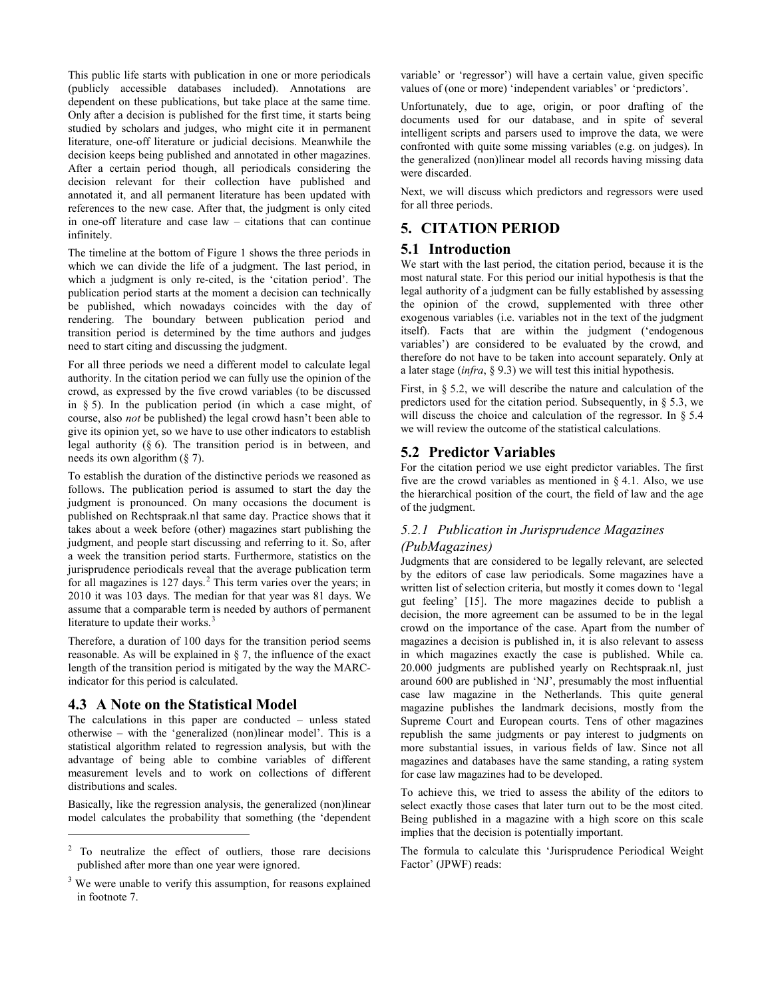This public life starts with publication in one or more periodicals (publicly accessible databases included). Annotations are dependent on these publications, but take place at the same time. Only after a decision is published for the first time, it starts being studied by scholars and judges, who might cite it in permanent literature, one-off literature or judicial decisions. Meanwhile the decision keeps being published and annotated in other magazines. After a certain period though, all periodicals considering the decision relevant for their collection have published and annotated it, and all permanent literature has been updated with references to the new case. After that, the judgment is only cited in one-off literature and case law – citations that can continue infinitely.

The timeline at the bottom of Figure 1 shows the three periods in which we can divide the life of a judgment. The last period, in which a judgment is only re-cited, is the 'citation period'. The publication period starts at the moment a decision can technically be published, which nowadays coincides with the day of rendering. The boundary between publication period and transition period is determined by the time authors and judges need to start citing and discussing the judgment.

For all three periods we need a different model to calculate legal authority. In the citation period we can fully use the opinion of the crowd, as expressed by the five crowd variables (to be discussed in § 5). In the publication period (in which a case might, of course, also *not* be published) the legal crowd hasn't been able to give its opinion yet, so we have to use other indicators to establish legal authority (§ 6). The transition period is in between, and needs its own algorithm (§ 7).

To establish the duration of the distinctive periods we reasoned as follows. The publication period is assumed to start the day the judgment is pronounced. On many occasions the document is published on Rechtspraak.nl that same day. Practice shows that it takes about a week before (other) magazines start publishing the judgment, and people start discussing and referring to it. So, after a week the transition period starts. Furthermore, statistics on the jurisprudence periodicals reveal that the average publication term for all magazines is 127 days. [2](#page-2-0) This term varies over the years; in 2010 it was 103 days. The median for that year was 81 days. We assume that a comparable term is needed by authors of permanent literature to update their works.<sup>[3](#page-2-1)</sup>

Therefore, a duration of 100 days for the transition period seems reasonable. As will be explained in § 7, the influence of the exact length of the transition period is mitigated by the way the MARCindicator for this period is calculated.

### **4.3 A Note on the Statistical Model**

j

The calculations in this paper are conducted – unless stated otherwise – with the 'generalized (non)linear model'. This is a statistical algorithm related to regression analysis, but with the advantage of being able to combine variables of different measurement levels and to work on collections of different distributions and scales.

Basically, like the regression analysis, the generalized (non)linear model calculates the probability that something (the 'dependent variable' or 'regressor') will have a certain value, given specific values of (one or more) 'independent variables' or 'predictors'.

Unfortunately, due to age, origin, or poor drafting of the documents used for our database, and in spite of several intelligent scripts and parsers used to improve the data, we were confronted with quite some missing variables (e.g. on judges). In the generalized (non)linear model all records having missing data were discarded.

Next, we will discuss which predictors and regressors were used for all three periods.

# **5. CITATION PERIOD**

# **5.1 Introduction**

We start with the last period, the citation period, because it is the most natural state. For this period our initial hypothesis is that the legal authority of a judgment can be fully established by assessing the opinion of the crowd, supplemented with three other exogenous variables (i.e. variables not in the text of the judgment itself). Facts that are within the judgment ('endogenous variables') are considered to be evaluated by the crowd, and therefore do not have to be taken into account separately. Only at a later stage (*infra*, § 9.3) we will test this initial hypothesis.

First, in § 5.2, we will describe the nature and calculation of the predictors used for the citation period. Subsequently, in § 5.3, we will discuss the choice and calculation of the regressor. In § 5.4 we will review the outcome of the statistical calculations.

# **5.2 Predictor Variables**

For the citation period we use eight predictor variables. The first five are the crowd variables as mentioned in § 4.1. Also, we use the hierarchical position of the court, the field of law and the age of the judgment.

# *5.2.1 Publication in Jurisprudence Magazines (PubMagazines)*

Judgments that are considered to be legally relevant, are selected by the editors of case law periodicals. Some magazines have a written list of selection criteria, but mostly it comes down to 'legal gut feeling' [\[15\]](#page-9-14). The more magazines decide to publish a decision, the more agreement can be assumed to be in the legal crowd on the importance of the case. Apart from the number of magazines a decision is published in, it is also relevant to assess in which magazines exactly the case is published. While ca. 20.000 judgments are published yearly on Rechtspraak.nl, just around 600 are published in 'NJ', presumably the most influential case law magazine in the Netherlands. This quite general magazine publishes the landmark decisions, mostly from the Supreme Court and European courts. Tens of other magazines republish the same judgments or pay interest to judgments on more substantial issues, in various fields of law. Since not all magazines and databases have the same standing, a rating system for case law magazines had to be developed.

To achieve this, we tried to assess the ability of the editors to select exactly those cases that later turn out to be the most cited. Being published in a magazine with a high score on this scale implies that the decision is potentially important.

The formula to calculate this 'Jurisprudence Periodical Weight Factor' (JPWF) reads:

<span id="page-2-0"></span><sup>2</sup> To neutralize the effect of outliers, those rare decisions published after more than one year were ignored.

<span id="page-2-1"></span>We were unable to verify this assumption, for reasons explained in footnote 7.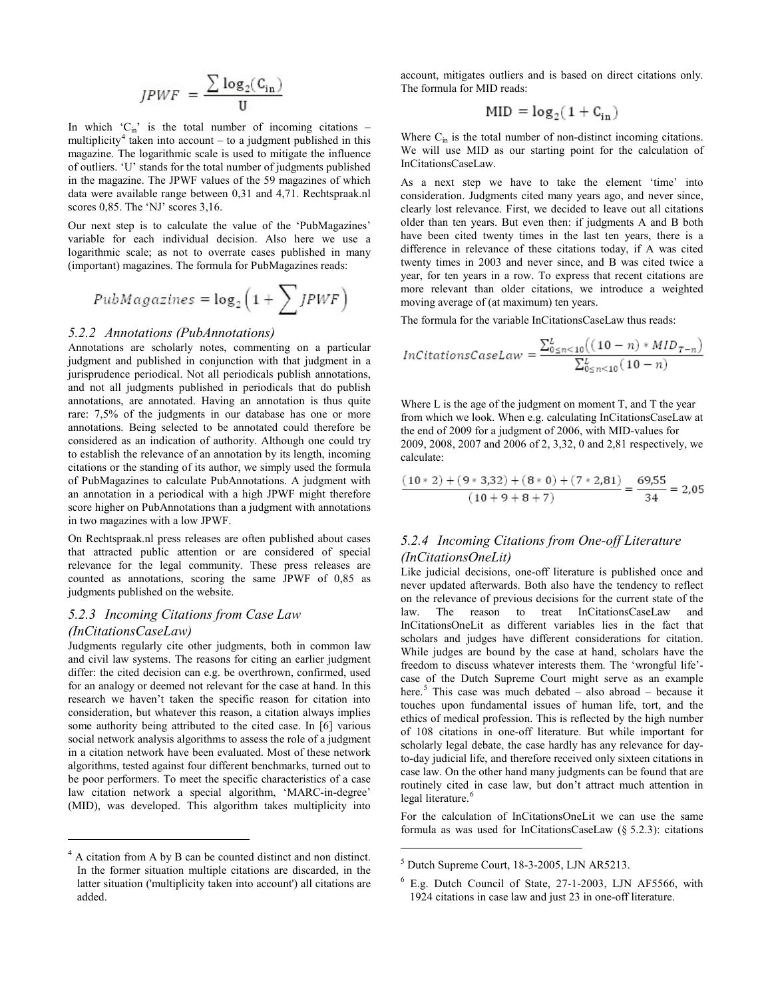$$
IPWF = \frac{\sum \log_2(C_{\text{in}})}{\mathbf{U}}
$$

In which  ${}^{\circ}C_{in}$  is the total number of incoming citations – multiplicity<sup>[4](#page-3-0)</sup> taken into account – to a judgment published in this magazine. The logarithmic scale is used to mitigate the influence of outliers. 'U' stands for the total number of judgments published in the magazine. The JPWF values of the 59 magazines of which data were available range between 0,31 and 4,71. Rechtspraak.nl scores 0,85. The 'NJ' scores 3,16.

Our next step is to calculate the value of the 'PubMagazines' variable for each individual decision. Also here we use a logarithmic scale; as not to overrate cases published in many (important) magazines. The formula for PubMagazines reads:

$$
PubMagazines = \log_2\left(1 + \sum JPWF\right)
$$

#### *5.2.2 Annotations (PubAnnotations)*

Annotations are scholarly notes, commenting on a particular judgment and published in conjunction with that judgment in a jurisprudence periodical. Not all periodicals publish annotations, and not all judgments published in periodicals that do publish annotations, are annotated. Having an annotation is thus quite rare: 7,5% of the judgments in our database has one or more annotations. Being selected to be annotated could therefore be considered as an indication of authority. Although one could try to establish the relevance of an annotation by its length, incoming citations or the standing of its author, we simply used the formula of PubMagazines to calculate PubAnnotations. A judgment with an annotation in a periodical with a high JPWF might therefore score higher on PubAnnotations than a judgment with annotations in two magazines with a low JPWF.

On Rechtspraak.nl press releases are often published about cases that attracted public attention or are considered of special relevance for the legal community. These press releases are counted as annotations, scoring the same JPWF of 0,85 as judgments published on the website.

#### *5.2.3 Incoming Citations from Case Law (InCitationsCaseLaw)*

Judgments regularly cite other judgments, both in common law and civil law systems. The reasons for citing an earlier judgment differ: the cited decision can e.g. be overthrown, confirmed, used for an analogy or deemed not relevant for the case at hand. In this research we haven't taken the specific reason for citation into consideration, but whatever this reason, a citation always implies some authority being attributed to the cited case. In [\[6\]](#page-9-5) various social network analysis algorithms to assess the role of a judgment in a citation network have been evaluated. Most of these network algorithms, tested against four different benchmarks, turned out to be poor performers. To meet the specific characteristics of a case law citation network a special algorithm, 'MARC-in-degree' (MID), was developed. This algorithm takes multiplicity into

j

account, mitigates outliers and is based on direct citations only. The formula for MID reads:

$$
MID = log_2(1 + C_{in})
$$

Where  $C_{in}$  is the total number of non-distinct incoming citations. We will use MID as our starting point for the calculation of InCitationsCaseLaw.

As a next step we have to take the element 'time' into consideration. Judgments cited many years ago, and never since, clearly lost relevance. First, we decided to leave out all citations older than ten years. But even then: if judgments A and B both have been cited twenty times in the last ten years, there is a difference in relevance of these citations today, if A was cited twenty times in 2003 and never since, and B was cited twice a year, for ten years in a row. To express that recent citations are more relevant than older citations, we introduce a weighted moving average of (at maximum) ten years.

The formula for the variable InCitationsCaseLaw thus reads:

$$
InCitationsCaseLaw = \frac{\sum_{0 \le n < 10}^{L} \left( (10 - n) * MID_{T-n} \right)}{\sum_{0 \le n < 10}^{L} (10 - n)}
$$

Where  $L$  is the age of the judgment on moment  $T$ , and  $T$  the year from which we look. When e.g. calculating InCitationsCaseLaw at the end of 2009 for a judgment of 2006, with MID-values for 2009, 2008, 2007 and 2006 of 2, 3,32, 0 and 2,81 respectively, we calculate:

$$
\frac{(10*2) + (9*3,32) + (8*0) + (7*2,81)}{(10+9+8+7)} = \frac{69,55}{34} = 2,05
$$

# *5.2.4 Incoming Citations from One-off Literature (InCitationsOneLit)*

Like judicial decisions, one-off literature is published once and never updated afterwards. Both also have the tendency to reflect on the relevance of previous decisions for the current state of the law. The reason to treat InCitationsCaseLaw and InCitationsOneLit as different variables lies in the fact that scholars and judges have different considerations for citation. While judges are bound by the case at hand, scholars have the freedom to discuss whatever interests them. The 'wrongful life' case of the Dutch Supreme Court might serve as an example here.<sup>[5](#page-3-1)</sup> This case was much debated – also abroad – because it touches upon fundamental issues of human life, tort, and the ethics of medical profession. This is reflected by the high number of 108 citations in one-off literature. But while important for scholarly legal debate, the case hardly has any relevance for dayto-day judicial life, and therefore received only sixteen citations in case law. On the other hand many judgments can be found that are routinely cited in case law, but don't attract much attention in legal literature.<sup>[6](#page-3-2)</sup>

For the calculation of InCitationsOneLit we can use the same formula as was used for InCitationsCaseLaw (§ 5.2.3): citations

1

<span id="page-3-2"></span><span id="page-3-1"></span><span id="page-3-0"></span><sup>4</sup> A citation from A by B can be counted distinct and non distinct. In the former situation multiple citations are discarded, in the latter situation ('multiplicity taken into account') all citations are added.

 $<sup>5</sup>$  Dutch Supreme Court, 18-3-2005, LJN AR5213.</sup>

 $6$  E.g. Dutch Council of State, 27-1-2003, LJN AF5566, with 1924 citations in case law and just 23 in one-off literature.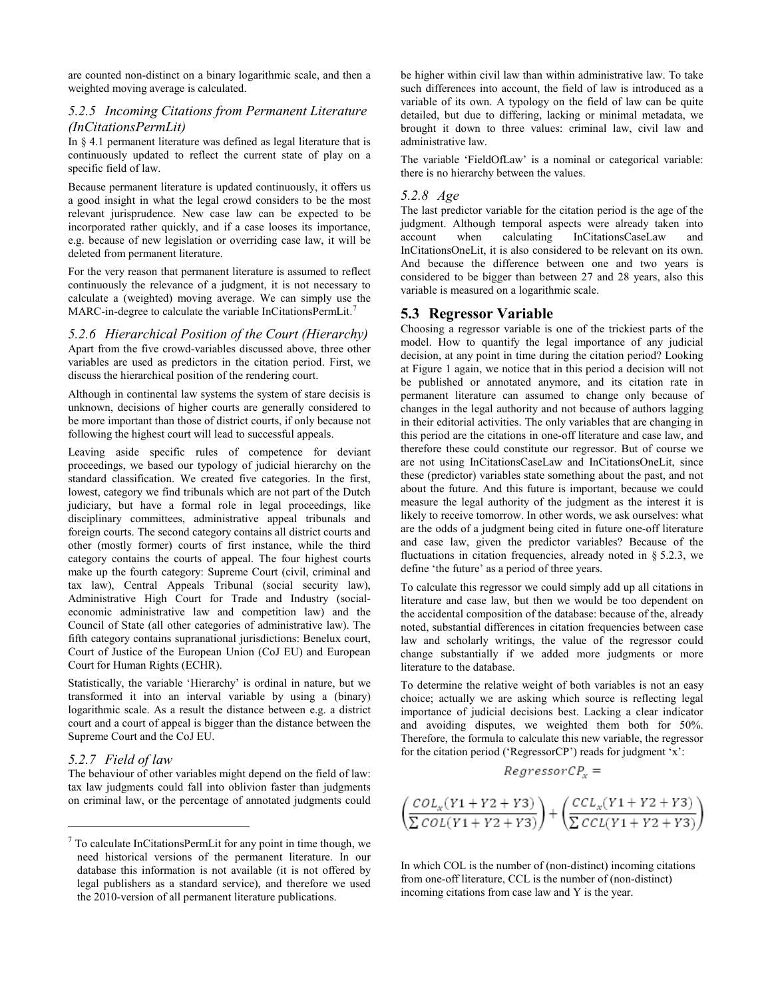are counted non-distinct on a binary logarithmic scale, and then a weighted moving average is calculated.

# *5.2.5 Incoming Citations from Permanent Literature (InCitationsPermLit)*

In § 4.1 permanent literature was defined as legal literature that is continuously updated to reflect the current state of play on a specific field of law.

Because permanent literature is updated continuously, it offers us a good insight in what the legal crowd considers to be the most relevant jurisprudence. New case law can be expected to be incorporated rather quickly, and if a case looses its importance, e.g. because of new legislation or overriding case law, it will be deleted from permanent literature.

For the very reason that permanent literature is assumed to reflect continuously the relevance of a judgment, it is not necessary to calculate a (weighted) moving average. We can simply use the MARC-in-degree to calculate the variable InCitationsPermLit.<sup>[7](#page-4-0)</sup>

#### *5.2.6 Hierarchical Position of the Court (Hierarchy)*

Apart from the five crowd-variables discussed above, three other variables are used as predictors in the citation period. First, we discuss the hierarchical position of the rendering court.

Although in continental law systems the system of stare decisis is unknown, decisions of higher courts are generally considered to be more important than those of district courts, if only because not following the highest court will lead to successful appeals.

Leaving aside specific rules of competence for deviant proceedings, we based our typology of judicial hierarchy on the standard classification. We created five categories. In the first, lowest, category we find tribunals which are not part of the Dutch judiciary, but have a formal role in legal proceedings, like disciplinary committees, administrative appeal tribunals and foreign courts. The second category contains all district courts and other (mostly former) courts of first instance, while the third category contains the courts of appeal. The four highest courts make up the fourth category: Supreme Court (civil, criminal and tax law), Central Appeals Tribunal (social security law), Administrative High Court for Trade and Industry (socialeconomic administrative law and competition law) and the Council of State (all other categories of administrative law). The fifth category contains supranational jurisdictions: Benelux court, Court of Justice of the European Union (CoJ EU) and European Court for Human Rights (ECHR).

Statistically, the variable 'Hierarchy' is ordinal in nature, but we transformed it into an interval variable by using a (binary) logarithmic scale. As a result the distance between e.g. a district court and a court of appeal is bigger than the distance between the Supreme Court and the CoJ EU.

#### *5.2.7 Field of law*

 $\overline{a}$ 

The behaviour of other variables might depend on the field of law: tax law judgments could fall into oblivion faster than judgments on criminal law, or the percentage of annotated judgments could be higher within civil law than within administrative law. To take such differences into account, the field of law is introduced as a variable of its own. A typology on the field of law can be quite detailed, but due to differing, lacking or minimal metadata, we brought it down to three values: criminal law, civil law and administrative law.

The variable 'FieldOfLaw' is a nominal or categorical variable: there is no hierarchy between the values.

#### *5.2.8 Age*

The last predictor variable for the citation period is the age of the judgment. Although temporal aspects were already taken into<br>account when calculating InCitationsCaseLaw and account when calculating InCitationsCaseLaw and InCitationsOneLit, it is also considered to be relevant on its own. And because the difference between one and two years is considered to be bigger than between 27 and 28 years, also this variable is measured on a logarithmic scale.

### **5.3 Regressor Variable**

Choosing a regressor variable is one of the trickiest parts of the model. How to quantify the legal importance of any judicial decision, at any point in time during the citation period? Looking at Figure 1 again, we notice that in this period a decision will not be published or annotated anymore, and its citation rate in permanent literature can assumed to change only because of changes in the legal authority and not because of authors lagging in their editorial activities. The only variables that are changing in this period are the citations in one-off literature and case law, and therefore these could constitute our regressor. But of course we are not using InCitationsCaseLaw and InCitationsOneLit, since these (predictor) variables state something about the past, and not about the future. And this future is important, because we could measure the legal authority of the judgment as the interest it is likely to receive tomorrow. In other words, we ask ourselves: what are the odds of a judgment being cited in future one-off literature and case law, given the predictor variables? Because of the fluctuations in citation frequencies, already noted in  $\S$  5.2.3, we define 'the future' as a period of three years.

To calculate this regressor we could simply add up all citations in literature and case law, but then we would be too dependent on the accidental composition of the database: because of the, already noted, substantial differences in citation frequencies between case law and scholarly writings, the value of the regressor could change substantially if we added more judgments or more literature to the database.

To determine the relative weight of both variables is not an easy choice; actually we are asking which source is reflecting legal importance of judicial decisions best. Lacking a clear indicator and avoiding disputes, we weighted them both for 50%. Therefore, the formula to calculate this new variable, the regressor for the citation period ('RegressorCP') reads for judgment 'x':

$$
Regression CP_{x} =
$$

$$
\left(\frac{\mathcal{CO}L_x(Y1+Y2+Y3)}{\sum \mathcal{CO}L(Y1+Y2+Y3)}\right) + \left(\frac{\mathcal{CC}L_x(Y1+Y2+Y3)}{\sum \mathcal{CC}L(Y1+Y2+Y3)}\right)
$$

In which COL is the number of (non-distinct) incoming citations from one-off literature, CCL is the number of (non-distinct) incoming citations from case law and Y is the year.

<span id="page-4-0"></span> $7$  To calculate InCitationsPermLit for any point in time though, we need historical versions of the permanent literature. In our database this information is not available (it is not offered by legal publishers as a standard service), and therefore we used the 2010-version of all permanent literature publications.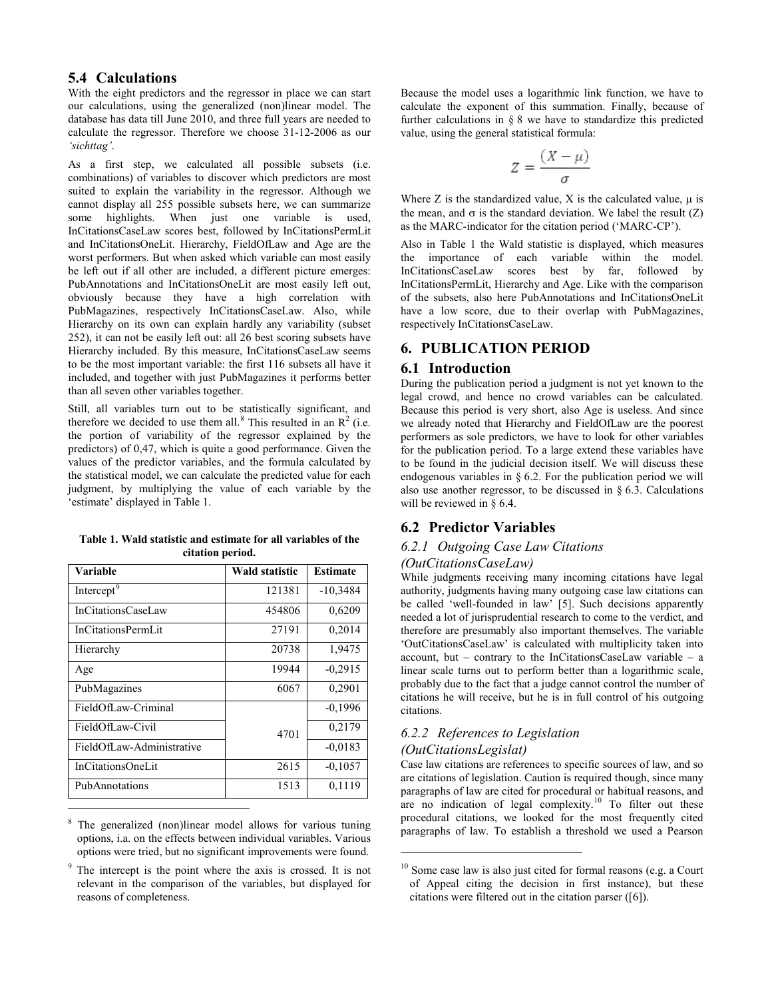# **5.4 Calculations**

With the eight predictors and the regressor in place we can start our calculations, using the generalized (non)linear model. The database has data till June 2010, and three full years are needed to calculate the regressor. Therefore we choose 31-12-2006 as our *'sichttag'*.

As a first step, we calculated all possible subsets (i.e. combinations) of variables to discover which predictors are most suited to explain the variability in the regressor. Although we cannot display all 255 possible subsets here, we can summarize some highlights. When just one variable is used, InCitationsCaseLaw scores best, followed by InCitationsPermLit and InCitationsOneLit. Hierarchy, FieldOfLaw and Age are the worst performers. But when asked which variable can most easily be left out if all other are included, a different picture emerges: PubAnnotations and InCitationsOneLit are most easily left out, obviously because they have a high correlation with PubMagazines, respectively InCitationsCaseLaw. Also, while Hierarchy on its own can explain hardly any variability (subset 252), it can not be easily left out: all 26 best scoring subsets have Hierarchy included. By this measure, InCitationsCaseLaw seems to be the most important variable: the first 116 subsets all have it included, and together with just PubMagazines it performs better than all seven other variables together.

Still, all variables turn out to be statistically significant, and therefore we decided to use them all.<sup>[8](#page-5-0)</sup> This resulted in an  $\mathbb{R}^2$  (i.e. the portion of variability of the regressor explained by the predictors) of 0,47, which is quite a good performance. Given the values of the predictor variables, and the formula calculated by the statistical model, we can calculate the predicted value for each judgment, by multiplying the value of each variable by the 'estimate' displayed in Table 1.

| <b>Variable</b>           | <b>Wald statistic</b> | <b>Estimate</b> |
|---------------------------|-----------------------|-----------------|
| Intercept <sup>9</sup>    | 121381                | $-10,3484$      |
| <b>InCitationsCaseLaw</b> | 454806                | 0,6209          |
| InCitationsPermLit        | 27191                 | 0,2014          |
| Hierarchy                 | 20738                 | 1,9475          |
| Age                       | 19944                 | $-0.2915$       |
| PubMagazines              | 6067                  | 0,2901          |
| FieldOfLaw-Criminal       |                       | $-0.1996$       |
| FieldOfLaw-Civil          | 4701                  | 0,2179          |
| FieldOfLaw-Administrative |                       | $-0.0183$       |
| <b>InCitationsOneLit</b>  | 2615                  | $-0,1057$       |
| PubAnnotations            | 1513                  | 0,1119          |

**Table 1. Wald statistic and estimate for all variables of the citation period.**

<span id="page-5-0"></span>The generalized (non)linear model allows for various tuning options, i.a. on the effects between individual variables. Various options were tried, but no significant improvements were found.

j

Because the model uses a logarithmic link function, we have to calculate the exponent of this summation. Finally, because of further calculations in § 8 we have to standardize this predicted value, using the general statistical formula:

$$
Z = \frac{(X - \mu)}{\sigma}
$$

Where Z is the standardized value, X is the calculated value,  $\mu$  is the mean, and  $\sigma$  is the standard deviation. We label the result (Z) as the MARC-indicator for the citation period ('MARC-CP').

Also in Table 1 the Wald statistic is displayed, which measures the importance of each variable within the model. InCitationsCaseLaw scores best by far, followed by InCitationsPermLit, Hierarchy and Age. Like with the comparison of the subsets, also here PubAnnotations and InCitationsOneLit have a low score, due to their overlap with PubMagazines, respectively InCitationsCaseLaw.

# **6. PUBLICATION PERIOD**

#### **6.1 Introduction**

During the publication period a judgment is not yet known to the legal crowd, and hence no crowd variables can be calculated. Because this period is very short, also Age is useless. And since we already noted that Hierarchy and FieldOfLaw are the poorest performers as sole predictors, we have to look for other variables for the publication period. To a large extend these variables have to be found in the judicial decision itself. We will discuss these endogenous variables in § 6.2. For the publication period we will also use another regressor, to be discussed in § 6.3. Calculations will be reviewed in  $\frac{864}{64}$ 

# **6.2 Predictor Variables**

### *6.2.1 Outgoing Case Law Citations*

#### *(OutCitationsCaseLaw)*

While judgments receiving many incoming citations have legal authority, judgments having many outgoing case law citations can be called 'well-founded in law' [\[5\]](#page-9-4). Such decisions apparently needed a lot of jurisprudential research to come to the verdict, and therefore are presumably also important themselves. The variable 'OutCitationsCaseLaw' is calculated with multiplicity taken into account, but – contrary to the InCitationsCaseLaw variable – a linear scale turns out to perform better than a logarithmic scale, probably due to the fact that a judge cannot control the number of citations he will receive, but he is in full control of his outgoing citations.

# *6.2.2 References to Legislation*

# *(OutCitationsLegislat)*

1

Case law citations are references to specific sources of law, and so are citations of legislation. Caution is required though, since many paragraphs of law are cited for procedural or habitual reasons, and are no indication of legal complexity.<sup>[10](#page-5-1)</sup> To filter out these procedural citations, we looked for the most frequently cited paragraphs of law. To establish a threshold we used a Pearson

<span id="page-5-1"></span>The intercept is the point where the axis is crossed. It is not relevant in the comparison of the variables, but displayed for reasons of completeness.

<sup>10</sup> Some case law is also just cited for formal reasons (e.g. a Court of Appeal citing the decision in first instance), but these citations were filtered out in the citation parser ([\[6\]](#page-9-5)).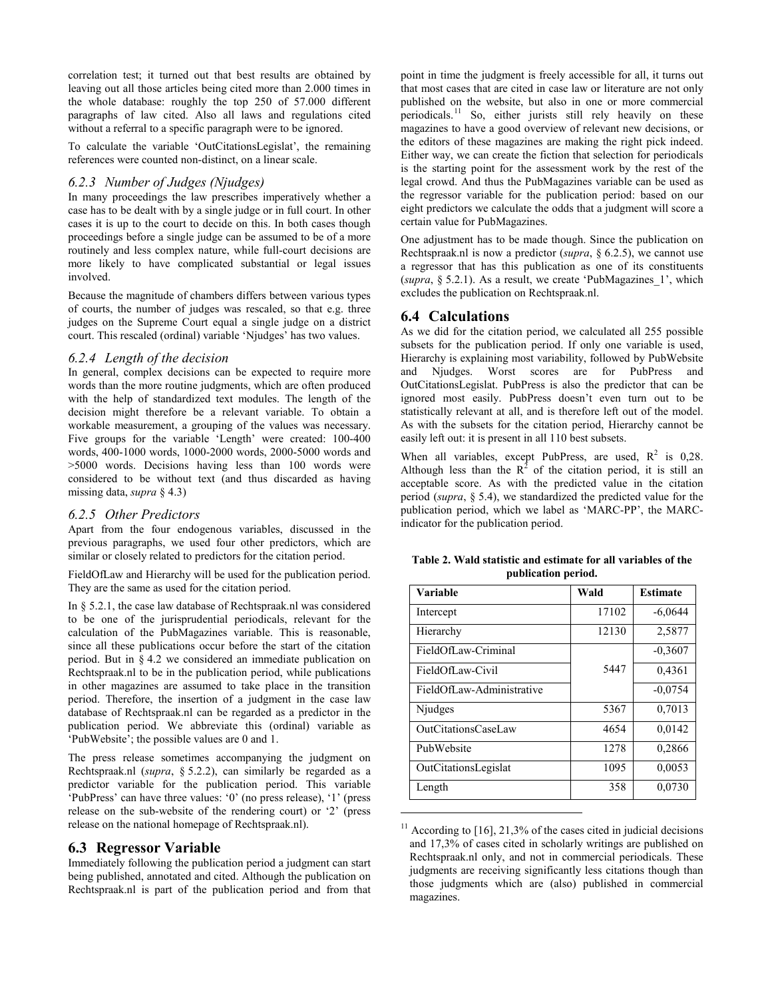correlation test; it turned out that best results are obtained by leaving out all those articles being cited more than 2.000 times in the whole database: roughly the top 250 of 57.000 different paragraphs of law cited. Also all laws and regulations cited without a referral to a specific paragraph were to be ignored.

To calculate the variable 'OutCitationsLegislat', the remaining references were counted non-distinct, on a linear scale.

#### *6.2.3 Number of Judges (Njudges)*

In many proceedings the law prescribes imperatively whether a case has to be dealt with by a single judge or in full court. In other cases it is up to the court to decide on this. In both cases though proceedings before a single judge can be assumed to be of a more routinely and less complex nature, while full-court decisions are more likely to have complicated substantial or legal issues involved.

Because the magnitude of chambers differs between various types of courts, the number of judges was rescaled, so that e.g. three judges on the Supreme Court equal a single judge on a district court. This rescaled (ordinal) variable 'Njudges' has two values.

### *6.2.4 Length of the decision*

In general, complex decisions can be expected to require more words than the more routine judgments, which are often produced with the help of standardized text modules. The length of the decision might therefore be a relevant variable. To obtain a workable measurement, a grouping of the values was necessary. Five groups for the variable 'Length' were created: 100-400 words, 400-1000 words, 1000-2000 words, 2000-5000 words and >5000 words. Decisions having less than 100 words were considered to be without text (and thus discarded as having missing data, *supra* § 4.3)

### *6.2.5 Other Predictors*

Apart from the four endogenous variables, discussed in the previous paragraphs, we used four other predictors, which are similar or closely related to predictors for the citation period.

FieldOfLaw and Hierarchy will be used for the publication period. They are the same as used for the citation period.

In § 5.2.1, the case law database of Rechtspraak.nl was considered to be one of the jurisprudential periodicals, relevant for the calculation of the PubMagazines variable. This is reasonable, since all these publications occur before the start of the citation period. But in § 4.2 we considered an immediate publication on Rechtspraak.nl to be in the publication period, while publications in other magazines are assumed to take place in the transition period. Therefore, the insertion of a judgment in the case law database of Rechtspraak.nl can be regarded as a predictor in the publication period. We abbreviate this (ordinal) variable as 'PubWebsite'; the possible values are 0 and 1.

The press release sometimes accompanying the judgment on Rechtspraak.nl (*supra*, § 5.2.2), can similarly be regarded as a predictor variable for the publication period. This variable 'PubPress' can have three values: '0' (no press release), '1' (press release on the sub-website of the rendering court) or '2' (press release on the national homepage of Rechtspraak.nl).

### <span id="page-6-0"></span>**6.3 Regressor Variable**

Immediately following the publication period a judgment can start being published, annotated and cited. Although the publication on Rechtspraak.nl is part of the publication period and from that

point in time the judgment is freely accessible for all, it turns out that most cases that are cited in case law or literature are not only published on the website, but also in one or more commercial periodicals.<sup>[11](#page-6-0)</sup> So, either jurists still rely heavily on these magazines to have a good overview of relevant new decisions, or the editors of these magazines are making the right pick indeed. Either way, we can create the fiction that selection for periodicals is the starting point for the assessment work by the rest of the legal crowd. And thus the PubMagazines variable can be used as the regressor variable for the publication period: based on our eight predictors we calculate the odds that a judgment will score a certain value for PubMagazines.

One adjustment has to be made though. Since the publication on Rechtspraak.nl is now a predictor (*supra*, § 6.2.5), we cannot use a regressor that has this publication as one of its constituents (*supra*, § 5.2.1). As a result, we create 'PubMagazines\_1', which excludes the publication on Rechtspraak.nl.

# **6.4 Calculations**

1

As we did for the citation period, we calculated all 255 possible subsets for the publication period. If only one variable is used, Hierarchy is explaining most variability, followed by PubWebsite and Njudges. Worst scores are for PubPress and OutCitationsLegislat. PubPress is also the predictor that can be ignored most easily. PubPress doesn't even turn out to be statistically relevant at all, and is therefore left out of the model. As with the subsets for the citation period, Hierarchy cannot be easily left out: it is present in all 110 best subsets.

When all variables, except PubPress, are used,  $R^2$  is 0,28. Although less than the  $R^2$  of the citation period, it is still an acceptable score. As with the predicted value in the citation period (*supra*, § 5.4), we standardized the predicted value for the publication period, which we label as 'MARC-PP', the MARCindicator for the publication period.

| Variable                  | Wald  | <b>Estimate</b> |
|---------------------------|-------|-----------------|
| Intercept                 | 17102 | $-6,0644$       |
| Hierarchy                 | 12130 | 2,5877          |
| FieldOfLaw-Criminal       |       | $-0.3607$       |
| FieldOfLaw-Civil          | 5447  | 0,4361          |
| FieldOfLaw-Administrative |       | $-0.0754$       |
| Njudges                   | 5367  | 0.7013          |
| OutCitationsCaseLaw       | 4654  | 0,0142          |
| PubWebsite                | 1278  | 0,2866          |
| OutCitationsLegislat      | 1095  | 0,0053          |
| Length                    | 358   | 0,0730          |

**Table 2. Wald statistic and estimate for all variables of the publication period.**

<sup>&</sup>lt;sup>11</sup> According to [\[16\]](#page-9-15), 21,3% of the cases cited in judicial decisions and 17,3% of cases cited in scholarly writings are published on Rechtspraak.nl only, and not in commercial periodicals. These judgments are receiving significantly less citations though than those judgments which are (also) published in commercial magazines.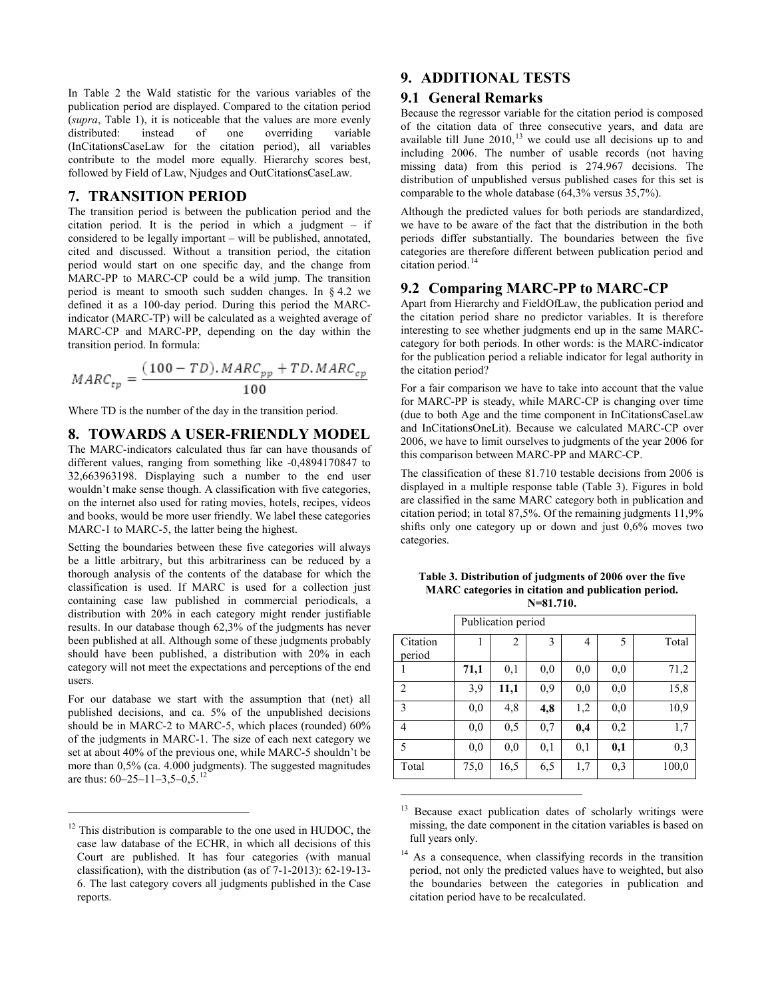In Table 2 the Wald statistic for the various variables of the publication period are displayed. Compared to the citation period (*supra*, Table 1), it is noticeable that the values are more evenly distributed: instead of one overriding variable (InCitationsCaseLaw for the citation period), all variables contribute to the model more equally. Hierarchy scores best, followed by Field of Law, Njudges and OutCitationsCaseLaw.

#### **7. TRANSITION PERIOD**

The transition period is between the publication period and the citation period. It is the period in which a judgment  $-$  if considered to be legally important – will be published, annotated, cited and discussed. Without a transition period, the citation period would start on one specific day, and the change from MARC-PP to MARC-CP could be a wild jump. The transition period is meant to smooth such sudden changes. In § 4.2 we defined it as a 100-day period. During this period the MARCindicator (MARC-TP) will be calculated as a weighted average of MARC-CP and MARC-PP, depending on the day within the transition period. In formula:

$$
MARC_{tp} = \frac{(100 - TD).MARC_{pp} + TD. MARC_{ep}}{100}
$$

Where TD is the number of the day in the transition period.

#### **8. TOWARDS A USER-FRIENDLY MODEL**

The MARC-indicators calculated thus far can have thousands of different values, ranging from something like -0,4894170847 to 32,663963198. Displaying such a number to the end user wouldn't make sense though. A classification with five categories, on the internet also used for rating movies, hotels, recipes, videos and books, would be more user friendly. We label these categories MARC-1 to MARC-5, the latter being the highest.

Setting the boundaries between these five categories will always be a little arbitrary, but this arbitrariness can be reduced by a thorough analysis of the contents of the database for which the classification is used. If MARC is used for a collection just containing case law published in commercial periodicals, a distribution with 20% in each category might render justifiable results. In our database though 62,3% of the judgments has never been published at all. Although some of these judgments probably should have been published, a distribution with 20% in each category will not meet the expectations and perceptions of the end users.

For our database we start with the assumption that (net) all published decisions, and ca. 5% of the unpublished decisions should be in MARC-2 to MARC-5, which places (rounded) 60% of the judgments in MARC-1. The size of each next category we set at about 40% of the previous one, while MARC-5 shouldn't be more than 0,5% (ca. 4.000 judgments). The suggested magnitudes are thus:  $60-25-11-3.5-0.5$ <sup>[12](#page-7-0)</sup>

<span id="page-7-1"></span> $\overline{a}$ 

# **9. ADDITIONAL TESTS**

#### **9.1 General Remarks**

Because the regressor variable for the citation period is composed of the citation data of three consecutive years, and data are available till June  $2010$ ,  $^{13}$  $^{13}$  $^{13}$  we could use all decisions up to and including 2006. The number of usable records (not having missing data) from this period is 274.967 decisions. The distribution of unpublished versus published cases for this set is comparable to the whole database (64,3% versus 35,7%).

Although the predicted values for both periods are standardized, we have to be aware of the fact that the distribution in the both periods differ substantially. The boundaries between the five categories are therefore different between publication period and citation period. [14](#page-7-2)

# **9.2 Comparing MARC-PP to MARC-CP**

Apart from Hierarchy and FieldOfLaw, the publication period and the citation period share no predictor variables. It is therefore interesting to see whether judgments end up in the same MARCcategory for both periods. In other words: is the MARC-indicator for the publication period a reliable indicator for legal authority in the citation period?

For a fair comparison we have to take into account that the value for MARC-PP is steady, while MARC-CP is changing over time (due to both Age and the time component in InCitationsCaseLaw and InCitationsOneLit). Because we calculated MARC-CP over 2006, we have to limit ourselves to judgments of the year 2006 for this comparison between MARC-PP and MARC-CP.

The classification of these 81.710 testable decisions from 2006 is displayed in a multiple response table (Table 3). Figures in bold are classified in the same MARC category both in publication and citation period; in total 87,5%. Of the remaining judgments 11,9% shifts only one category up or down and just 0,6% moves two categories.

**Table 3. Distribution of judgments of 2006 over the five MARC categories in citation and publication period. N=81.710.**

|                    | Publication period |      |     |                |     |       |
|--------------------|--------------------|------|-----|----------------|-----|-------|
| Citation<br>period |                    | 2    | 3   | $\overline{4}$ | 5   | Total |
|                    | 71,1               | 0,1  | 0,0 | 0,0            | 0,0 | 71,2  |
| $\overline{2}$     | 3,9                | 11,1 | 0,9 | 0,0            | 0,0 | 15,8  |
| 3                  | 0,0                | 4,8  | 4,8 | 1,2            | 0,0 | 10,9  |
| 4                  | 0,0                | 0,5  | 0,7 | 0,4            | 0,2 | 1,7   |
| 5                  | 0,0                | 0,0  | 0,1 | 0,1            | 0,1 | 0,3   |
| Total              | 75,0               | 16,5 | 6,5 | 1,7            | 0,3 | 100,0 |

<sup>&</sup>lt;sup>13</sup> Because exact publication dates of scholarly writings were missing, the date component in the citation variables is based on full years only.

1

<span id="page-7-2"></span><span id="page-7-0"></span> $12$  This distribution is comparable to the one used in HUDOC, the case law database of the ECHR, in which all decisions of this Court are published. It has four categories (with manual classification), with the distribution (as of 7-1-2013): 62-19-13- 6. The last category covers all judgments published in the Case reports.

<sup>&</sup>lt;sup>14</sup> As a consequence, when classifying records in the transition period, not only the predicted values have to weighted, but also the boundaries between the categories in publication and citation period have to be recalculated.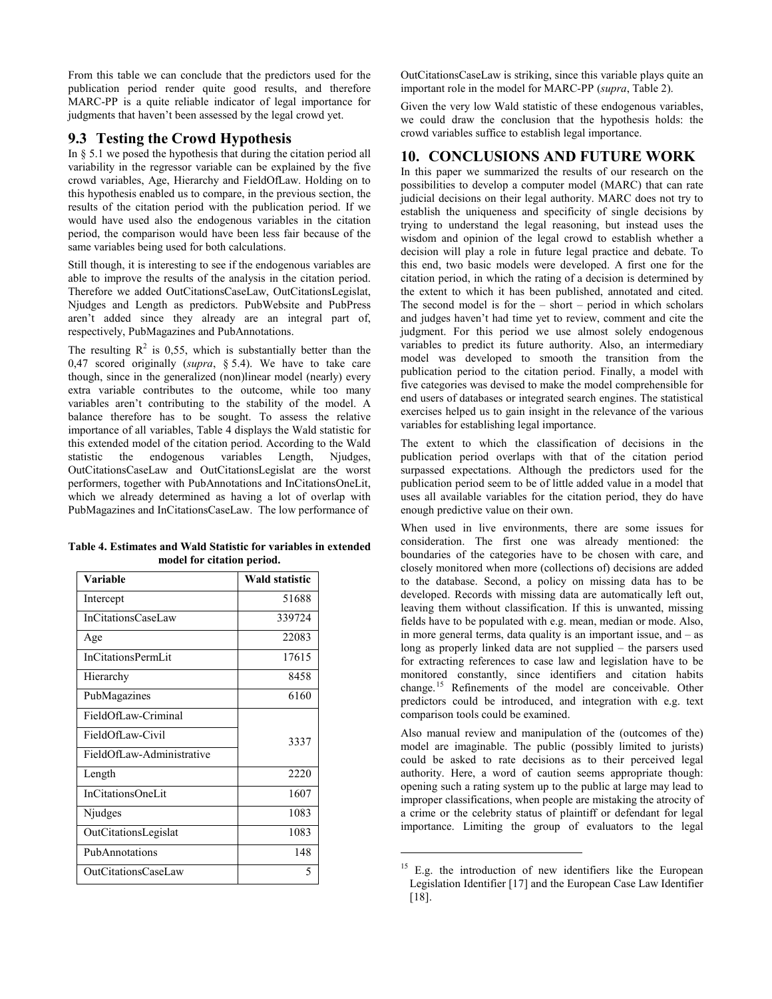From this table we can conclude that the predictors used for the publication period render quite good results, and therefore MARC-PP is a quite reliable indicator of legal importance for judgments that haven't been assessed by the legal crowd yet.

# **9.3 Testing the Crowd Hypothesis**

In  $\S$  5.1 we posed the hypothesis that during the citation period all variability in the regressor variable can be explained by the five crowd variables, Age, Hierarchy and FieldOfLaw. Holding on to this hypothesis enabled us to compare, in the previous section, the results of the citation period with the publication period. If we would have used also the endogenous variables in the citation period, the comparison would have been less fair because of the same variables being used for both calculations.

Still though, it is interesting to see if the endogenous variables are able to improve the results of the analysis in the citation period. Therefore we added OutCitationsCaseLaw, OutCitationsLegislat, Njudges and Length as predictors. PubWebsite and PubPress aren't added since they already are an integral part of, respectively, PubMagazines and PubAnnotations.

The resulting  $R^2$  is 0.55, which is substantially better than the 0,47 scored originally (*supra*, § 5.4). We have to take care though, since in the generalized (non)linear model (nearly) every extra variable contributes to the outcome, while too many variables aren't contributing to the stability of the model. A balance therefore has to be sought. To assess the relative importance of all variables, Table 4 displays the Wald statistic for this extended model of the citation period. According to the Wald statistic the endogenous variables Length, Njudges, OutCitationsCaseLaw and OutCitationsLegislat are the worst performers, together with PubAnnotations and InCitationsOneLit, which we already determined as having a lot of overlap with PubMagazines and InCitationsCaseLaw. The low performance of

**Table 4. Estimates and Wald Statistic for variables in extended model for citation period.**

<span id="page-8-0"></span>

| Variable                  | <b>Wald statistic</b> |
|---------------------------|-----------------------|
| Intercept                 | 51688                 |
| <b>InCitationsCaseLaw</b> | 339724                |
| Age                       | 22083                 |
| <b>InCitationsPermLit</b> | 17615                 |
| Hierarchy                 | 8458                  |
| PubMagazines              | 6160                  |
| FieldOfLaw-Criminal       |                       |
| FieldOfLaw-Civil          | 3337                  |
| FieldOfLaw-Administrative |                       |
| Length                    | 2220                  |
| InCitationsOneLit         | 1607                  |
| Njudges                   | 1083                  |
| OutCitationsLegislat      | 1083                  |
| PubAnnotations            | 148                   |
| OutCitationsCaseLaw       | 5                     |

OutCitationsCaseLaw is striking, since this variable plays quite an important role in the model for MARC-PP (*supra*, Table 2).

Given the very low Wald statistic of these endogenous variables, we could draw the conclusion that the hypothesis holds: the crowd variables suffice to establish legal importance.

# **10. CONCLUSIONS AND FUTURE WORK**

In this paper we summarized the results of our research on the possibilities to develop a computer model (MARC) that can rate judicial decisions on their legal authority. MARC does not try to establish the uniqueness and specificity of single decisions by trying to understand the legal reasoning, but instead uses the wisdom and opinion of the legal crowd to establish whether a decision will play a role in future legal practice and debate. To this end, two basic models were developed. A first one for the citation period, in which the rating of a decision is determined by the extent to which it has been published, annotated and cited. The second model is for the  $-$  short  $-$  period in which scholars and judges haven't had time yet to review, comment and cite the judgment. For this period we use almost solely endogenous variables to predict its future authority. Also, an intermediary model was developed to smooth the transition from the publication period to the citation period. Finally, a model with five categories was devised to make the model comprehensible for end users of databases or integrated search engines. The statistical exercises helped us to gain insight in the relevance of the various variables for establishing legal importance.

The extent to which the classification of decisions in the publication period overlaps with that of the citation period surpassed expectations. Although the predictors used for the publication period seem to be of little added value in a model that uses all available variables for the citation period, they do have enough predictive value on their own.

When used in live environments, there are some issues for consideration. The first one was already mentioned: the boundaries of the categories have to be chosen with care, and closely monitored when more (collections of) decisions are added to the database. Second, a policy on missing data has to be developed. Records with missing data are automatically left out, leaving them without classification. If this is unwanted, missing fields have to be populated with e.g. mean, median or mode. Also, in more general terms, data quality is an important issue, and – as long as properly linked data are not supplied – the parsers used for extracting references to case law and legislation have to be monitored constantly, since identifiers and citation habits change.[15](#page-8-0) Refinements of the model are conceivable. Other predictors could be introduced, and integration with e.g. text comparison tools could be examined.

Also manual review and manipulation of the (outcomes of the) model are imaginable. The public (possibly limited to jurists) could be asked to rate decisions as to their perceived legal authority. Here, a word of caution seems appropriate though: opening such a rating system up to the public at large may lead to improper classifications, when people are mistaking the atrocity of a crime or the celebrity status of plaintiff or defendant for legal importance. Limiting the group of evaluators to the legal

1

<sup>&</sup>lt;sup>15</sup> E.g. the introduction of new identifiers like the European Legislation Identifier [\[17\]](#page-9-16) and the European Case Law Identifier [\[18\]](#page-9-17).